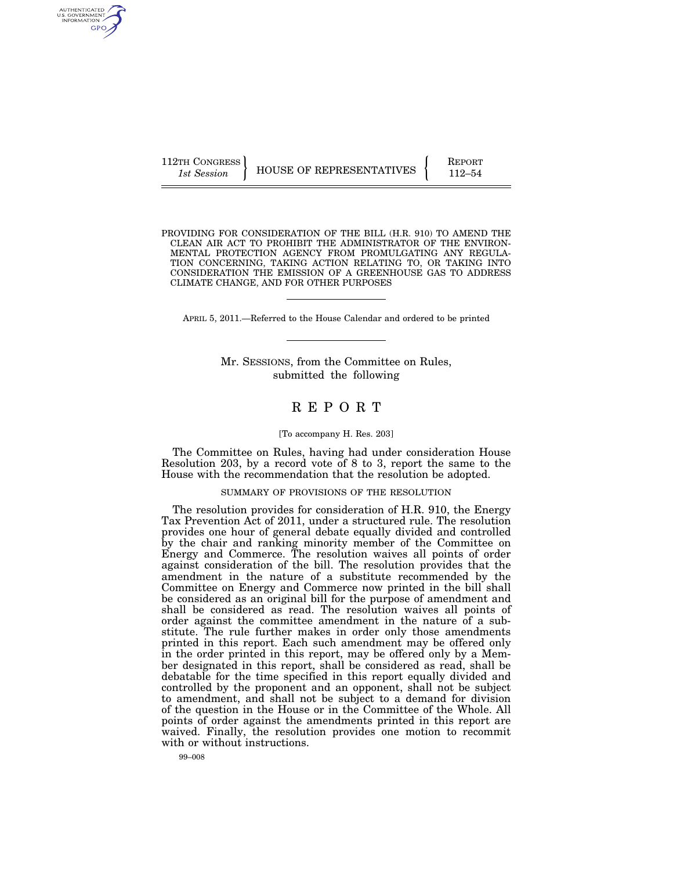112TH CONGRESS **REPORT 112TH CONGRESS** HOUSE OF REPRESENTATIVES **FULL** 112–54

PROVIDING FOR CONSIDERATION OF THE BILL (H.R. 910) TO AMEND THE CLEAN AIR ACT TO PROHIBIT THE ADMINISTRATOR OF THE ENVIRON-MENTAL PROTECTION AGENCY FROM PROMULGATING ANY REGULA-TION CONCERNING, TAKING ACTION RELATING TO, OR TAKING INTO CONSIDERATION THE EMISSION OF A GREENHOUSE GAS TO ADDRESS CLIMATE CHANGE, AND FOR OTHER PURPOSES

APRIL 5, 2011.—Referred to the House Calendar and ordered to be printed

Mr. SESSIONS, from the Committee on Rules, submitted the following

# R E P O R T

#### [To accompany H. Res. 203]

The Committee on Rules, having had under consideration House Resolution 203, by a record vote of 8 to 3, report the same to the House with the recommendation that the resolution be adopted.

#### SUMMARY OF PROVISIONS OF THE RESOLUTION

The resolution provides for consideration of H.R. 910, the Energy Tax Prevention Act of 2011, under a structured rule. The resolution provides one hour of general debate equally divided and controlled by the chair and ranking minority member of the Committee on Energy and Commerce. The resolution waives all points of order against consideration of the bill. The resolution provides that the amendment in the nature of a substitute recommended by the Committee on Energy and Commerce now printed in the bill shall be considered as an original bill for the purpose of amendment and shall be considered as read. The resolution waives all points of order against the committee amendment in the nature of a substitute. The rule further makes in order only those amendments printed in this report. Each such amendment may be offered only in the order printed in this report, may be offered only by a Member designated in this report, shall be considered as read, shall be debatable for the time specified in this report equally divided and controlled by the proponent and an opponent, shall not be subject to amendment, and shall not be subject to a demand for division of the question in the House or in the Committee of the Whole. All points of order against the amendments printed in this report are waived. Finally, the resolution provides one motion to recommit with or without instructions.

99–008

AUTHENTICATED<br>U.S. GOVERNMENT<br>INFORMATION GPO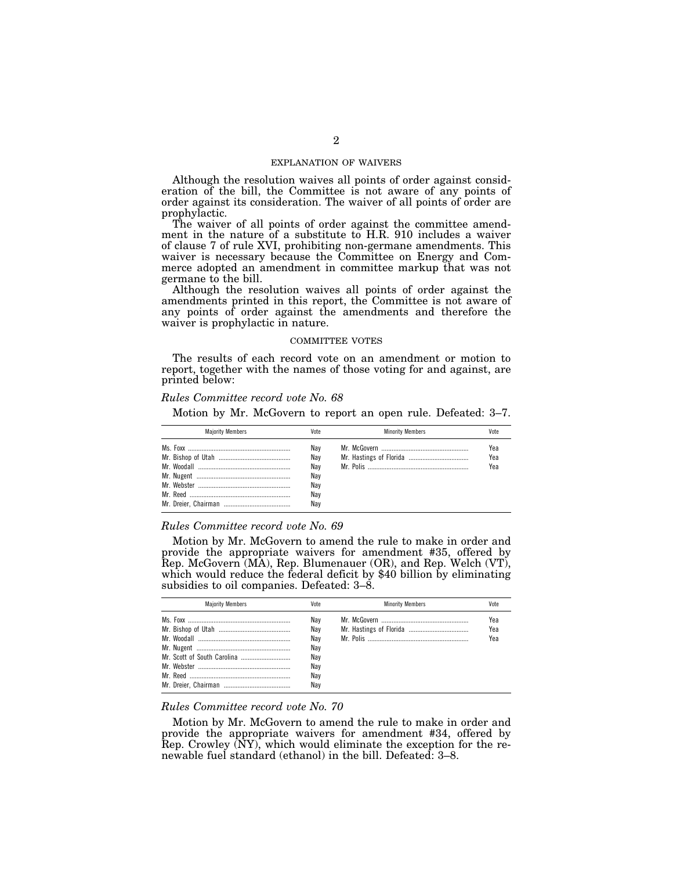### EXPLANATION OF WAIVERS

Although the resolution waives all points of order against consideration of the bill, the Committee is not aware of any points of order against its consideration. The waiver of all points of order are prophylactic.

The waiver of all points of order against the committee amendment in the nature of a substitute to H.R. 910 includes a waiver of clause 7 of rule XVI, prohibiting non-germane amendments. This waiver is necessary because the Committee on Energy and Commerce adopted an amendment in committee markup that was not germane to the bill.

Although the resolution waives all points of order against the amendments printed in this report, the Committee is not aware of any points of order against the amendments and therefore the waiver is prophylactic in nature.

### COMMITTEE VOTES

The results of each record vote on an amendment or motion to report, together with the names of those voting for and against, are printed below:

### *Rules Committee record vote No. 68*

Motion by Mr. McGovern to report an open rule. Defeated: 3–7.

| <b>Maiority Members</b> | Vote                                          | <b>Minority Members</b> | Vote              |
|-------------------------|-----------------------------------------------|-------------------------|-------------------|
|                         | Nav<br>Nav<br>Nav<br>Nay<br>Nay<br>Nav<br>Nav |                         | Yea<br>Yea<br>Yea |

### *Rules Committee record vote No. 69*

Motion by Mr. McGovern to amend the rule to make in order and provide the appropriate waivers for amendment #35, offered by Rep. McGovern (MA), Rep. Blumenauer (OR), and Rep. Welch (VT), which would reduce the federal deficit by \$40 billion by eliminating subsidies to oil companies. Defeated:  $3-\dot{8}$ .

| <b>Maiority Members</b> | Vote | <b>Minority Members</b> | Vote |
|-------------------------|------|-------------------------|------|
|                         | Nav  |                         | Yea  |
|                         | Nav  |                         | Yea  |
|                         | Nav  |                         | Yea  |
|                         | Nav  |                         |      |
|                         | Nav  |                         |      |
|                         | Nay  |                         |      |
|                         | Nav  |                         |      |
|                         | Nav  |                         |      |

## *Rules Committee record vote No. 70*

Motion by Mr. McGovern to amend the rule to make in order and provide the appropriate waivers for amendment #34, offered by Rep. Crowley (NY), which would eliminate the exception for the renewable fuel standard (ethanol) in the bill. Defeated: 3–8.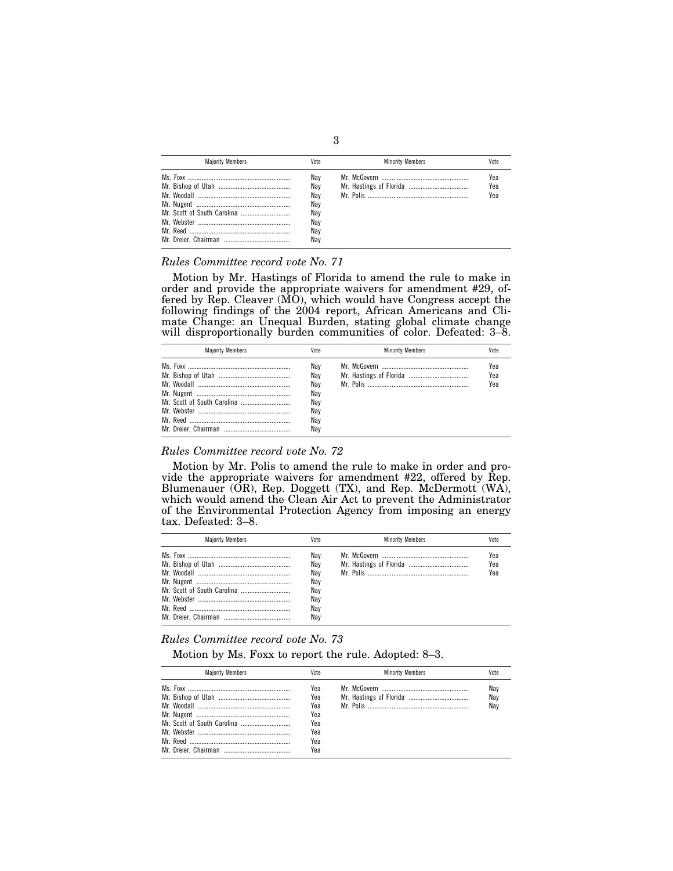| <b>Maiority Members</b> | Vote                                                 | <b>Minority Members</b> | Vote              |
|-------------------------|------------------------------------------------------|-------------------------|-------------------|
|                         | Nav<br>Nav<br>Nav<br>Nav<br>Nav<br>Nav<br>Nav<br>Nav |                         | Yea<br>Yea<br>Yea |

## *Rules Committee record vote No. 71*

Motion by Mr. Hastings of Florida to amend the rule to make in order and provide the appropriate waivers for amendment #29, offered by Rep. Cleaver (MO), which would have Congress accept the following findings of the 2004 report, African Americans and Climate Change: an Unequal Burden, stating global climate change will disproportionally burden communities of color. Defeated: 3–8.

| <b>Maiority Members</b> | Vote                                                 | <b>Minority Members</b> | Vote              |
|-------------------------|------------------------------------------------------|-------------------------|-------------------|
|                         | Nav<br>Nav<br>Nav<br>Nav<br>Nav<br>Nay<br>Nav<br>Nav |                         | Yea<br>Yea<br>Yea |

## *Rules Committee record vote No. 72*

Motion by Mr. Polis to amend the rule to make in order and provide the appropriate waivers for amendment #22, offered by Rep. Blumenauer (OR), Rep. Doggett (TX), and Rep. McDermott (WA), which would amend the Clean Air Act to prevent the Administrator of the Environmental Protection Agency from imposing an energy tax. Defeated: 3–8.

| <b>Maiority Members</b> | Vote | <b>Minority Members</b> | Vote |
|-------------------------|------|-------------------------|------|
|                         | Nav  |                         | Yea  |
|                         | Nav  |                         | Yea  |
|                         | Nav  |                         | Yea  |
|                         | Nay  |                         |      |
|                         | Nav  |                         |      |
|                         | Nay  |                         |      |
|                         | Nav  |                         |      |
|                         | Nav  |                         |      |

## *Rules Committee record vote No. 73*

Motion by Ms. Foxx to report the rule. Adopted: 8–3.

| <b>Maiority Members</b> | Vote                                                 | <b>Minority Members</b> | Vote              |
|-------------------------|------------------------------------------------------|-------------------------|-------------------|
|                         | Yea<br>Yea<br>Yea<br>Yea<br>Yea<br>Yea<br>Yea<br>Yea |                         | Nay<br>Nay<br>Nay |

3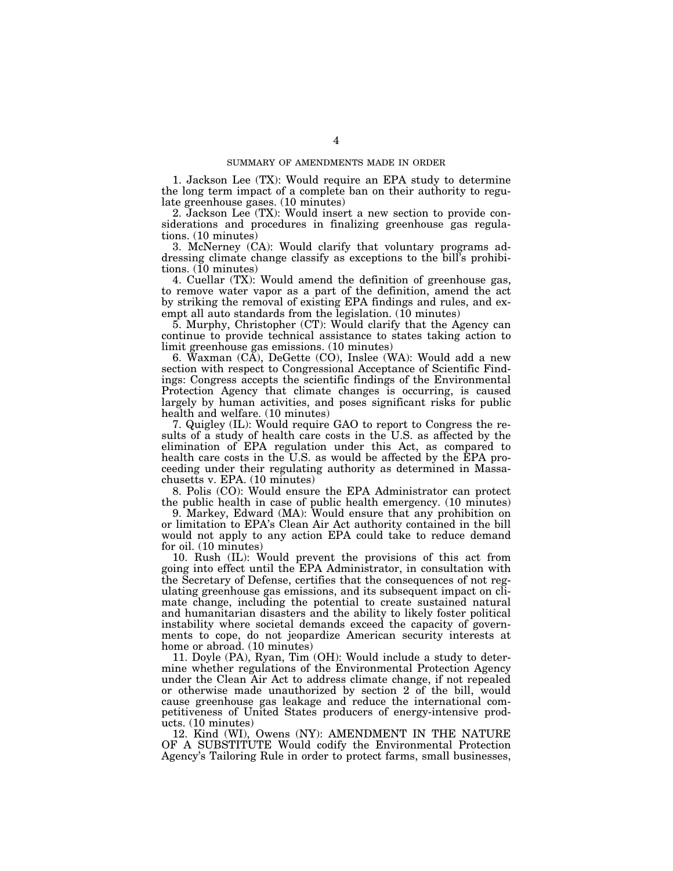1. Jackson Lee (TX): Would require an EPA study to determine the long term impact of a complete ban on their authority to regulate greenhouse gases. (10 minutes)

2. Jackson Lee (TX): Would insert a new section to provide considerations and procedures in finalizing greenhouse gas regulations. (10 minutes)

3. McNerney (CA): Would clarify that voluntary programs addressing climate change classify as exceptions to the bill's prohibitions. (10 minutes)

4. Cuellar (TX): Would amend the definition of greenhouse gas, to remove water vapor as a part of the definition, amend the act by striking the removal of existing EPA findings and rules, and exempt all auto standards from the legislation. (10 minutes)

5. Murphy, Christopher (CT): Would clarify that the Agency can continue to provide technical assistance to states taking action to limit greenhouse gas emissions. (10 minutes)

6. Waxman  $(C\breve{A})$ , DeGette  $(CO)$ , Inslee  $(WA)$ : Would add a new section with respect to Congressional Acceptance of Scientific Findings: Congress accepts the scientific findings of the Environmental Protection Agency that climate changes is occurring, is caused largely by human activities, and poses significant risks for public health and welfare. (10 minutes)

7. Quigley (IL): Would require GAO to report to Congress the results of a study of health care costs in the U.S. as affected by the elimination of EPA regulation under this Act, as compared to health care costs in the U.S. as would be affected by the EPA proceeding under their regulating authority as determined in Massachusetts v. EPA. (10 minutes)

8. Polis (CO): Would ensure the EPA Administrator can protect the public health in case of public health emergency. (10 minutes)

9. Markey, Edward (MA): Would ensure that any prohibition on or limitation to EPA's Clean Air Act authority contained in the bill would not apply to any action EPA could take to reduce demand for oil. (10 minutes)

10. Rush (IL): Would prevent the provisions of this act from going into effect until the EPA Administrator, in consultation with the Secretary of Defense, certifies that the consequences of not regulating greenhouse gas emissions, and its subsequent impact on climate change, including the potential to create sustained natural and humanitarian disasters and the ability to likely foster political instability where societal demands exceed the capacity of governments to cope, do not jeopardize American security interests at home or abroad. (10 minutes)

11. Doyle (PA), Ryan, Tim (OH): Would include a study to determine whether regulations of the Environmental Protection Agency under the Clean Air Act to address climate change, if not repealed or otherwise made unauthorized by section 2 of the bill, would cause greenhouse gas leakage and reduce the international competitiveness of United States producers of energy-intensive products. (10 minutes)

12. Kind (WI), Owens (NY): AMENDMENT IN THE NATURE OF A SUBSTITUTE Would codify the Environmental Protection Agency's Tailoring Rule in order to protect farms, small businesses,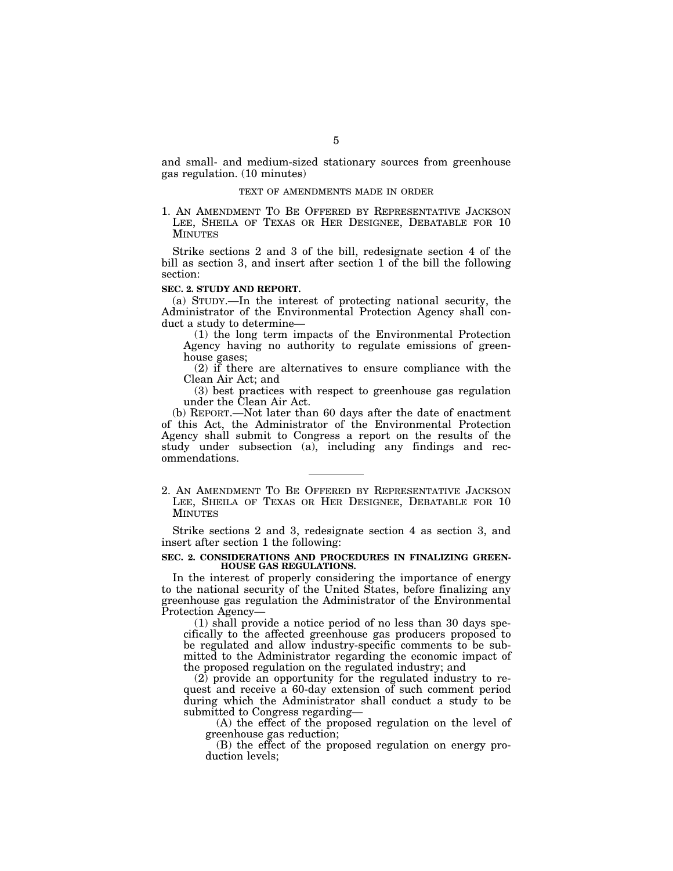and small- and medium-sized stationary sources from greenhouse gas regulation. (10 minutes)

### TEXT OF AMENDMENTS MADE IN ORDER

1. AN AMENDMENT TO BE OFFERED BY REPRESENTATIVE JACKSON LEE, SHEILA OF TEXAS OR HER DESIGNEE, DEBATABLE FOR 10 **MINUTES** 

Strike sections 2 and 3 of the bill, redesignate section 4 of the bill as section 3, and insert after section 1 of the bill the following section:

### **SEC. 2. STUDY AND REPORT.**

(a) STUDY.—In the interest of protecting national security, the Administrator of the Environmental Protection Agency shall conduct a study to determine—

(1) the long term impacts of the Environmental Protection Agency having no authority to regulate emissions of greenhouse gases;

(2) if there are alternatives to ensure compliance with the Clean Air Act; and

(3) best practices with respect to greenhouse gas regulation under the Clean Air Act.

(b) REPORT.—Not later than 60 days after the date of enactment of this Act, the Administrator of the Environmental Protection Agency shall submit to Congress a report on the results of the study under subsection (a), including any findings and recommendations.

2. AN AMENDMENT TO BE OFFERED BY REPRESENTATIVE JACKSON LEE, SHEILA OF TEXAS OR HER DESIGNEE, DEBATABLE FOR 10 MINUTES

Strike sections 2 and 3, redesignate section 4 as section 3, and insert after section 1 the following:

### **SEC. 2. CONSIDERATIONS AND PROCEDURES IN FINALIZING GREEN-HOUSE GAS REGULATIONS.**

In the interest of properly considering the importance of energy to the national security of the United States, before finalizing any greenhouse gas regulation the Administrator of the Environmental Protection Agency—

(1) shall provide a notice period of no less than 30 days specifically to the affected greenhouse gas producers proposed to be regulated and allow industry-specific comments to be submitted to the Administrator regarding the economic impact of the proposed regulation on the regulated industry; and

(2) provide an opportunity for the regulated industry to request and receive a 60-day extension of such comment period during which the Administrator shall conduct a study to be submitted to Congress regarding—

(A) the effect of the proposed regulation on the level of greenhouse gas reduction;

(B) the effect of the proposed regulation on energy production levels;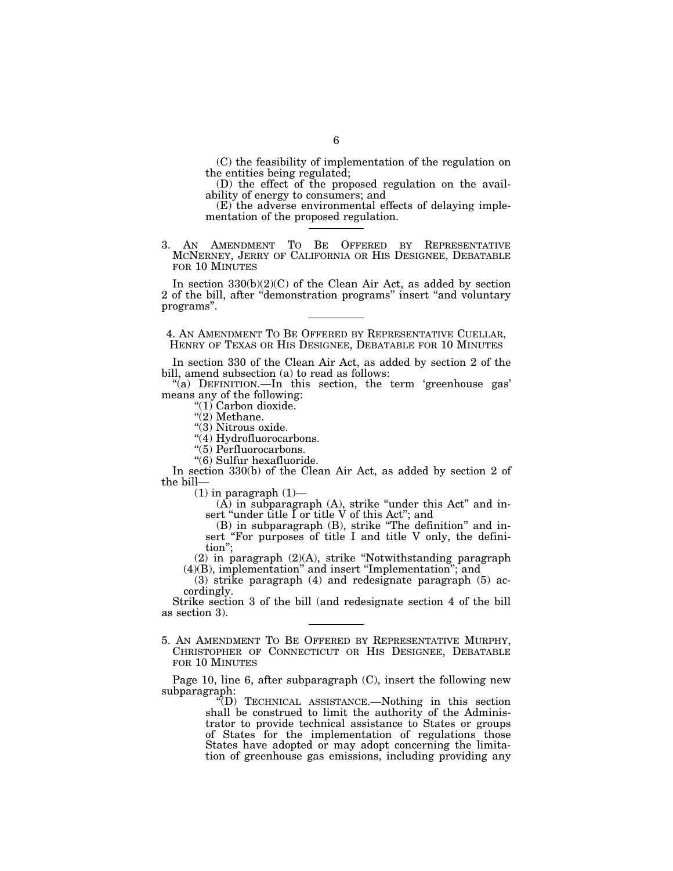(C) the feasibility of implementation of the regulation on the entities being regulated;

(D) the effect of the proposed regulation on the availability of energy to consumers; and

(E) the adverse environmental effects of delaying implementation of the proposed regulation.

3. AN AMENDMENT TO BE OFFERED BY REPRESENTATIVE MCNERNEY, JERRY OF CALIFORNIA OR HIS DESIGNEE, DEBATABLE FOR 10 MINUTES

In section 330(b)(2)(C) of the Clean Air Act, as added by section 2 of the bill, after ''demonstration programs'' insert ''and voluntary programs''.

4. AN AMENDMENT TO BE OFFERED BY REPRESENTATIVE CUELLAR, HENRY OF TEXAS OR HIS DESIGNEE, DEBATABLE FOR 10 MINUTES

In section 330 of the Clean Air Act, as added by section 2 of the bill, amend subsection (a) to read as follows:

"(a) DEFINITION.—In this section, the term 'greenhouse gas' means any of the following:

"(1) Carbon dioxide.

" $(2)$  Methane.

"(3) Nitrous oxide.

"(4) Hydrofluorocarbons.

"(5) Perfluorocarbons.

''(6) Sulfur hexafluoride.

In section 330(b) of the Clean Air Act, as added by section 2 of the bill—

 $(1)$  in paragraph  $(1)$ —

 $(A)$  in subparagraph  $(A)$ , strike "under this Act" and insert "under title I or title V of this Act"; and

(B) in subparagraph (B), strike ''The definition'' and insert "For purposes of title I and title V only, the definition'';

(2) in paragraph (2)(A), strike ''Notwithstanding paragraph (4)(B), implementation'' and insert ''Implementation''; and

(3) strike paragraph (4) and redesignate paragraph (5) accordingly.

Strike section 3 of the bill (and redesignate section 4 of the bill as section 3).

5. AN AMENDMENT TO BE OFFERED BY REPRESENTATIVE MURPHY, CHRISTOPHER OF CONNECTICUT OR HIS DESIGNEE, DEBATABLE FOR 10 MINUTES

Page 10, line 6, after subparagraph (C), insert the following new subparagraph:

''(D) TECHNICAL ASSISTANCE.—Nothing in this section shall be construed to limit the authority of the Adminisshall be construed to limit the authority of the Administrator to provide technical assistance to States or groups of States for the implementation of regulations those States have adopted or may adopt concerning the limitation of greenhouse gas emissions, including providing any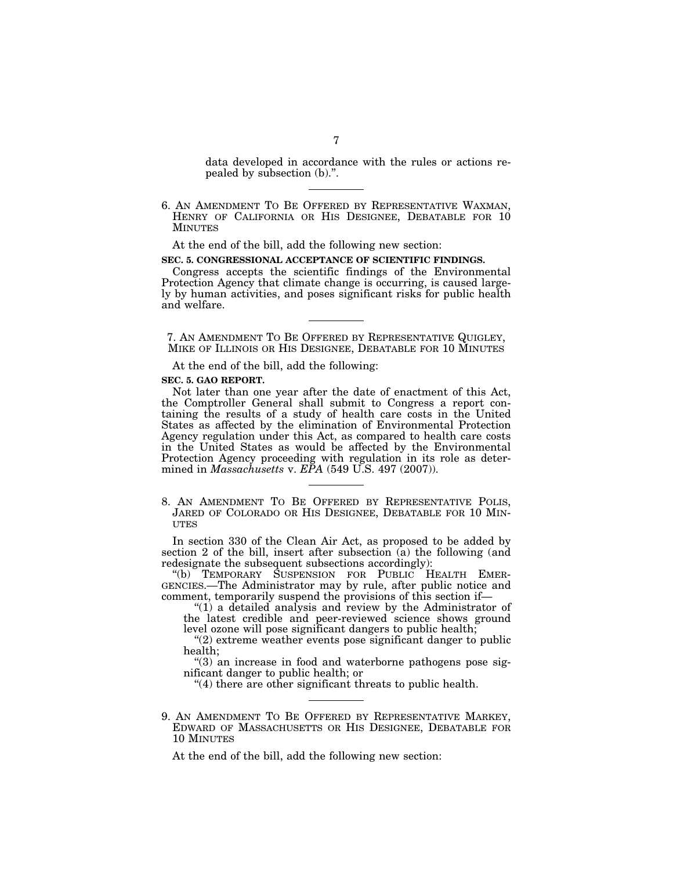data developed in accordance with the rules or actions repealed by subsection (b).''.

6. AN AMENDMENT TO BE OFFERED BY REPRESENTATIVE WAXMAN, HENRY OF CALIFORNIA OR HIS DESIGNEE, DEBATABLE FOR 10 MINUTES

At the end of the bill, add the following new section:

#### **SEC. 5. CONGRESSIONAL ACCEPTANCE OF SCIENTIFIC FINDINGS.**

Congress accepts the scientific findings of the Environmental Protection Agency that climate change is occurring, is caused largely by human activities, and poses significant risks for public health and welfare.

7. AN AMENDMENT TO BE OFFERED BY REPRESENTATIVE QUIGLEY, MIKE OF ILLINOIS OR HIS DESIGNEE, DEBATABLE FOR 10 MINUTES

At the end of the bill, add the following:

## **SEC. 5. GAO REPORT.**

Not later than one year after the date of enactment of this Act, the Comptroller General shall submit to Congress a report containing the results of a study of health care costs in the United States as affected by the elimination of Environmental Protection Agency regulation under this Act, as compared to health care costs in the United States as would be affected by the Environmental Protection Agency proceeding with regulation in its role as determined in *Massachusetts* v. *EPA* (549 U.S. 497 (2007)).

8. AN AMENDMENT TO BE OFFERED BY REPRESENTATIVE POLIS, JARED OF COLORADO OR HIS DESIGNEE, DEBATABLE FOR 10 MIN-**UTES** 

In section 330 of the Clean Air Act, as proposed to be added by section 2 of the bill, insert after subsection (a) the following (and redesignate the subsequent subsections accordingly):

''(b) TEMPORARY SUSPENSION FOR PUBLIC HEALTH EMER-GENCIES.—The Administrator may by rule, after public notice and comment, temporarily suspend the provisions of this section if—

''(1) a detailed analysis and review by the Administrator of the latest credible and peer-reviewed science shows ground level ozone will pose significant dangers to public health;

"(2) extreme weather events pose significant danger to public health;

 $\degree$ (3) an increase in food and waterborne pathogens pose significant danger to public health; or

''(4) there are other significant threats to public health.

9. AN AMENDMENT TO BE OFFERED BY REPRESENTATIVE MARKEY, EDWARD OF MASSACHUSETTS OR HIS DESIGNEE, DEBATABLE FOR 10 MINUTES

At the end of the bill, add the following new section: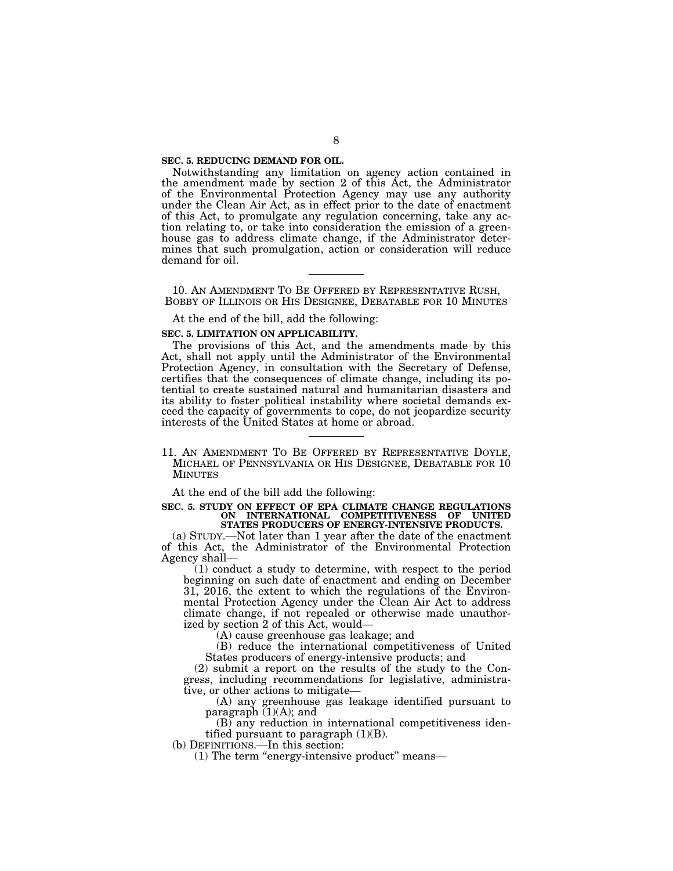#### **SEC. 5. REDUCING DEMAND FOR OIL.**

Notwithstanding any limitation on agency action contained in the amendment made by section 2 of this Act, the Administrator of the Environmental Protection Agency may use any authority under the Clean Air Act, as in effect prior to the date of enactment of this Act, to promulgate any regulation concerning, take any action relating to, or take into consideration the emission of a greenhouse gas to address climate change, if the Administrator determines that such promulgation, action or consideration will reduce demand for oil.

10. AN AMENDMENT TO BE OFFERED BY REPRESENTATIVE RUSH, BOBBY OF ILLINOIS OR HIS DESIGNEE, DEBATABLE FOR 10 MINUTES

At the end of the bill, add the following:

### **SEC. 5. LIMITATION ON APPLICABILITY.**

The provisions of this Act, and the amendments made by this Act, shall not apply until the Administrator of the Environmental Protection Agency, in consultation with the Secretary of Defense, certifies that the consequences of climate change, including its potential to create sustained natural and humanitarian disasters and its ability to foster political instability where societal demands exceed the capacity of governments to cope, do not jeopardize security interests of the United States at home or abroad.

11. AN AMENDMENT TO BE OFFERED BY REPRESENTATIVE DOYLE, MICHAEL OF PENNSYLVANIA OR HIS DESIGNEE, DEBATABLE FOR 10 MINUTES

At the end of the bill add the following:

**SEC. 5. STUDY ON EFFECT OF EPA CLIMATE CHANGE REGULATIONS ON INTERNATIONAL COMPETITIVENESS OF UNITED STATES PRODUCERS OF ENERGY-INTENSIVE PRODUCTS.** 

(a) STUDY.—Not later than 1 year after the date of the enactment of this Act, the Administrator of the Environmental Protection Agency shall—

(1) conduct a study to determine, with respect to the period beginning on such date of enactment and ending on December 31, 2016, the extent to which the regulations of the Environmental Protection Agency under the Clean Air Act to address climate change, if not repealed or otherwise made unauthorized by section 2 of this Act, would-

(A) cause greenhouse gas leakage; and

(B) reduce the international competitiveness of United States producers of energy-intensive products; and

(2) submit a report on the results of the study to the Congress, including recommendations for legislative, administrative, or other actions to mitigate—

(A) any greenhouse gas leakage identified pursuant to paragraph (1)(A); and

(B) any reduction in international competitiveness identified pursuant to paragraph  $(1)(B)$ .

(b) DEFINITIONS.—In this section:

(1) The term ''energy-intensive product'' means—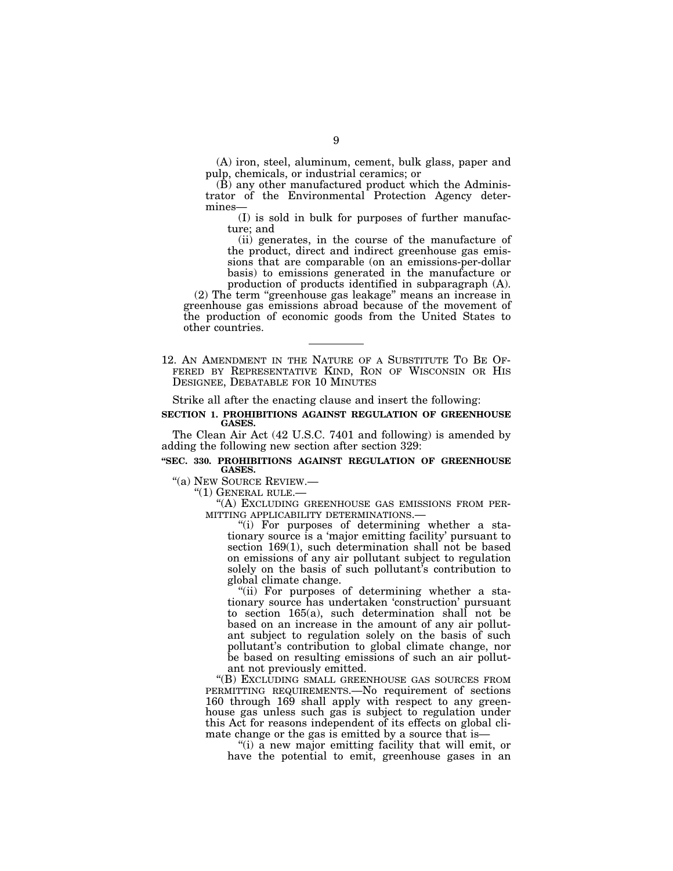(A) iron, steel, aluminum, cement, bulk glass, paper and pulp, chemicals, or industrial ceramics; or

(B) any other manufactured product which the Administrator of the Environmental Protection Agency determines—

(I) is sold in bulk for purposes of further manufacture; and

(ii) generates, in the course of the manufacture of the product, direct and indirect greenhouse gas emissions that are comparable (on an emissions-per-dollar basis) to emissions generated in the manufacture or production of products identified in subparagraph (A).

(2) The term ''greenhouse gas leakage'' means an increase in greenhouse gas emissions abroad because of the movement of the production of economic goods from the United States to other countries.

12. AN AMENDMENT IN THE NATURE OF A SUBSTITUTE TO BE OF- FERED BY REPRESENTATIVE KIND, RON OF WISCONSIN OR HIS DESIGNEE, DEBATABLE FOR 10 MINUTES

Strike all after the enacting clause and insert the following:

#### **SECTION 1. PROHIBITIONS AGAINST REGULATION OF GREENHOUSE GASES.**

The Clean Air Act (42 U.S.C. 7401 and following) is amended by adding the following new section after section 329:

### **''SEC. 330. PROHIBITIONS AGAINST REGULATION OF GREENHOUSE GASES.**

"(a) NEW SOURCE REVIEW.—<br>"(1) GENERAL RULE.—<br>"(A) EXCLUDING GREENHOUSE GAS EMISSIONS FROM PER-<br>MITTING APPLICABILITY DETERMINATIONS.—<br>"(i) For purposes of determining whether a sta-

tionary source is a 'major emitting facility' pursuant to section 169(1), such determination shall not be based on emissions of any air pollutant subject to regulation solely on the basis of such pollutant's contribution to global climate change.

"(ii) For purposes of determining whether a stationary source has undertaken 'construction' pursuant to section 165(a), such determination shall not be based on an increase in the amount of any air pollutant subject to regulation solely on the basis of such pollutant's contribution to global climate change, nor be based on resulting emissions of such an air pollutant not previously emitted.

''(B) EXCLUDING SMALL GREENHOUSE GAS SOURCES FROM PERMITTING REQUIREMENTS.—No requirement of sections 160 through 169 shall apply with respect to any greenhouse gas unless such gas is subject to regulation under this Act for reasons independent of its effects on global climate change or the gas is emitted by a source that is—

''(i) a new major emitting facility that will emit, or have the potential to emit, greenhouse gases in an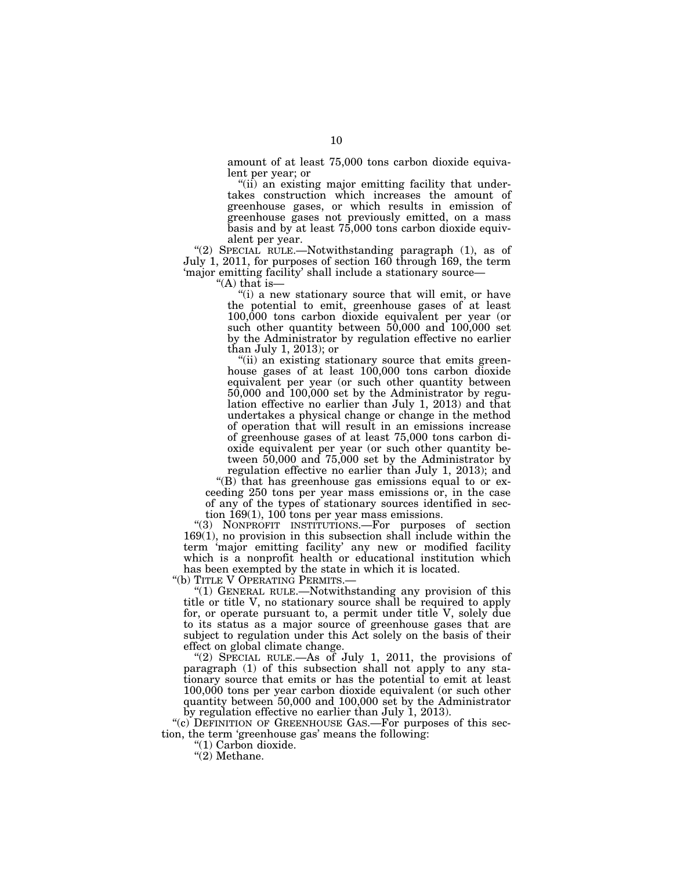amount of at least 75,000 tons carbon dioxide equivalent per year; or

''(ii) an existing major emitting facility that undertakes construction which increases the amount of greenhouse gases, or which results in emission of greenhouse gases not previously emitted, on a mass basis and by at least 75,000 tons carbon dioxide equivalent per year.

''(2) SPECIAL RULE.—Notwithstanding paragraph (1), as of July 1, 2011, for purposes of section 160 through 169, the term 'major emitting facility' shall include a stationary source—

"(A) that is—

"(i) a new stationary source that will emit, or have the potential to emit, greenhouse gases of at least 100,000 tons carbon dioxide equivalent per year (or such other quantity between  $50,000$  and  $100,000$  set by the Administrator by regulation effective no earlier than July 1, 2013); or

"(ii) an existing stationary source that emits greenhouse gases of at least 100,000 tons carbon dioxide equivalent per year (or such other quantity between 50,000 and 100,000 set by the Administrator by regulation effective no earlier than July 1, 2013) and that undertakes a physical change or change in the method of operation that will result in an emissions increase of greenhouse gases of at least 75,000 tons carbon dioxide equivalent per year (or such other quantity between 50,000 and 75,000 set by the Administrator by regulation effective no earlier than July 1, 2013); and

"(B) that has greenhouse gas emissions equal to or exceeding 250 tons per year mass emissions or, in the case of any of the types of stationary sources identified in section  $169(1)$ ,  $100$  tons per year mass emissions.

''(3) NONPROFIT INSTITUTIONS.—For purposes of section 169(1), no provision in this subsection shall include within the term 'major emitting facility' any new or modified facility which is a nonprofit health or educational institution which has been exempted by the state in which it is located.<br>"(b) TITLE V OPERATING PERMITS.—

"(1) GENERAL RULE.—Notwithstanding any provision of this title or title V, no stationary source shall be required to apply for, or operate pursuant to, a permit under title V, solely due to its status as a major source of greenhouse gases that are subject to regulation under this Act solely on the basis of their effect on global climate change.

''(2) SPECIAL RULE.—As of July 1, 2011, the provisions of paragraph (1) of this subsection shall not apply to any stationary source that emits or has the potential to emit at least 100,000 tons per year carbon dioxide equivalent (or such other quantity between 50,000 and 100,000 set by the Administrator by regulation effective no earlier than July 1, 2013).

"(c) DEFINITION OF GREENHOUSE GAS.—For purposes of this section, the term 'greenhouse gas' means the following:

''(1) Carbon dioxide.

 $''(2)$  Methane.